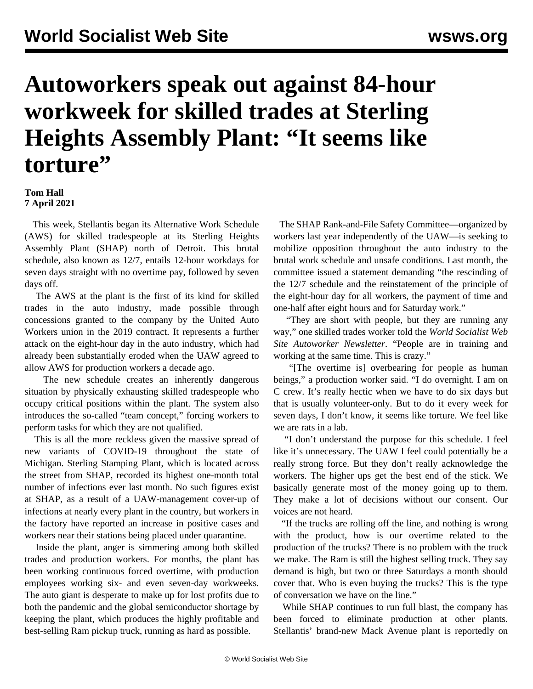## **Autoworkers speak out against 84-hour workweek for skilled trades at Sterling Heights Assembly Plant: "It seems like torture"**

## **Tom Hall 7 April 2021**

 This week, Stellantis began its Alternative Work Schedule (AWS) for skilled tradespeople at its Sterling Heights Assembly Plant (SHAP) north of Detroit. This brutal schedule, also known as 12/7, entails 12-hour workdays for seven days straight with no overtime pay, followed by seven days off.

 The AWS at the plant is the first of its kind for skilled trades in the auto industry, made possible through concessions granted to the company by the United Auto Workers union in the 2019 contract. It represents a further attack on the eight-hour day in the auto industry, which had already been substantially eroded when the UAW agreed to allow AWS for production workers a decade ago.

 The new schedule creates an inherently dangerous situation by physically exhausting skilled tradespeople who occupy critical positions within the plant. The system also introduces the so-called "team concept," forcing workers to perform tasks for which they are not qualified.

 This is all the more reckless given the massive spread of new variants of COVID-19 throughout the state of Michigan. Sterling Stamping Plant, which is located across the street from SHAP, recorded its highest one-month total number of infections ever last month. No such figures exist at SHAP, as a result of a UAW-management cover-up of infections at nearly every plant in the country, but workers in the factory have reported an increase in positive cases and workers near their stations being placed under quarantine.

 Inside the plant, anger is simmering among both skilled trades and production workers. For months, the plant has been working continuous forced overtime, with production employees working six- and even seven-day workweeks. The auto giant is desperate to make up for lost profits due to both the pandemic and the global semiconductor shortage by keeping the plant, which produces the highly profitable and best-selling Ram pickup truck, running as hard as possible.

 The SHAP Rank-and-File Safety Committee—organized by workers last year independently of the UAW—is seeking to mobilize opposition throughout the auto industry to the brutal work schedule and unsafe conditions. Last month, the committee [issued a statement](/en/articles/2021/03/17/shap-m17.html) demanding "the rescinding of the 12/7 schedule and the reinstatement of the principle of the eight-hour day for all workers, the payment of time and one-half after eight hours and for Saturday work."

 "They are short with people, but they are running any way," one skilled trades worker told the *World Socialist Web Site Autoworker Newsletter*. "People are in training and working at the same time. This is crazy."

 "[The overtime is] overbearing for people as human beings," a production worker said. "I do overnight. I am on C crew. It's really hectic when we have to do six days but that is usually volunteer-only. But to do it every week for seven days, I don't know, it seems like torture. We feel like we are rats in a lab.

 "I don't understand the purpose for this schedule. I feel like it's unnecessary. The UAW I feel could potentially be a really strong force. But they don't really acknowledge the workers. The higher ups get the best end of the stick. We basically generate most of the money going up to them. They make a lot of decisions without our consent. Our voices are not heard.

 "If the trucks are rolling off the line, and nothing is wrong with the product, how is our overtime related to the production of the trucks? There is no problem with the truck we make. The Ram is still the highest selling truck. They say demand is high, but two or three Saturdays a month should cover that. Who is even buying the trucks? This is the type of conversation we have on the line."

 While SHAP continues to run full blast, the company has been forced to eliminate production at other plants. Stellantis' brand-new Mack Avenue plant is reportedly on